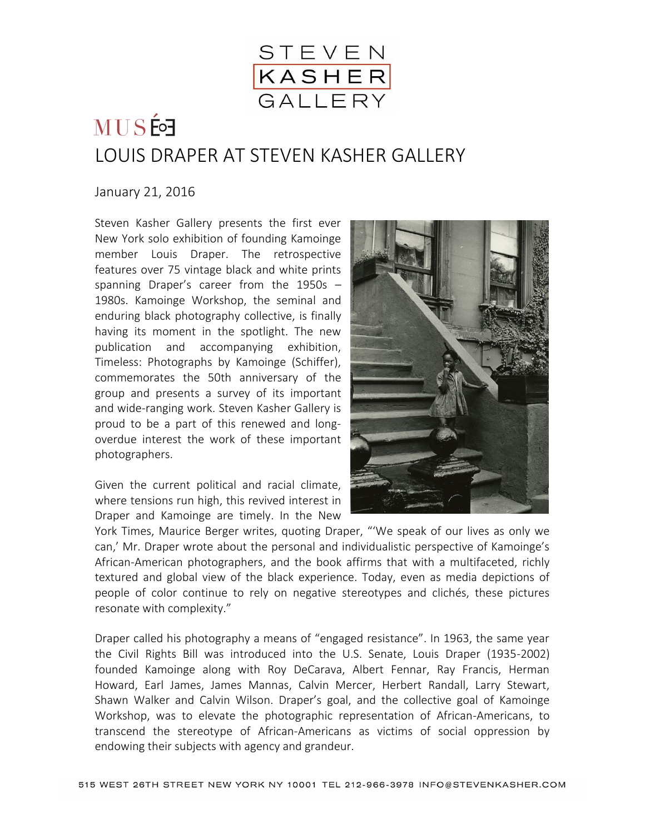

## LOUIS DRAPER AT STEVEN KASHER GALLERY

## January 21, 2016

Steven Kasher Gallery presents the first ever New York solo exhibition of founding Kamoinge member Louis Draper. The retrospective features over 75 vintage black and white prints spanning Draper's career from the 1950s – 1980s. Kamoinge Workshop, the seminal and enduring black photography collective, is finally having its moment in the spotlight. The new publication and accompanying exhibition, Timeless: Photographs by Kamoinge (Schiffer), commemorates the 50th anniversary of the group and presents a survey of its important and wide-ranging work. Steven Kasher Gallery is proud to be a part of this renewed and longoverdue interest the work of these important photographers.

Given the current political and racial climate, where tensions run high, this revived interest in Draper and Kamoinge are timely. In the New



York Times, Maurice Berger writes, quoting Draper, "'We speak of our lives as only we can,' Mr. Draper wrote about the personal and individualistic perspective of Kamoinge's African-American photographers, and the book affirms that with a multifaceted, richly textured and global view of the black experience. Today, even as media depictions of people of color continue to rely on negative stereotypes and clichés, these pictures resonate with complexity."

Draper called his photography a means of "engaged resistance". In 1963, the same year the Civil Rights Bill was introduced into the U.S. Senate, Louis Draper (1935-2002) founded Kamoinge along with Roy DeCarava, Albert Fennar, Ray Francis, Herman Howard, Earl James, James Mannas, Calvin Mercer, Herbert Randall, Larry Stewart, Shawn Walker and Calvin Wilson. Draper's goal, and the collective goal of Kamoinge Workshop, was to elevate the photographic representation of African-Americans, to transcend the stereotype of African-Americans as victims of social oppression by endowing their subjects with agency and grandeur.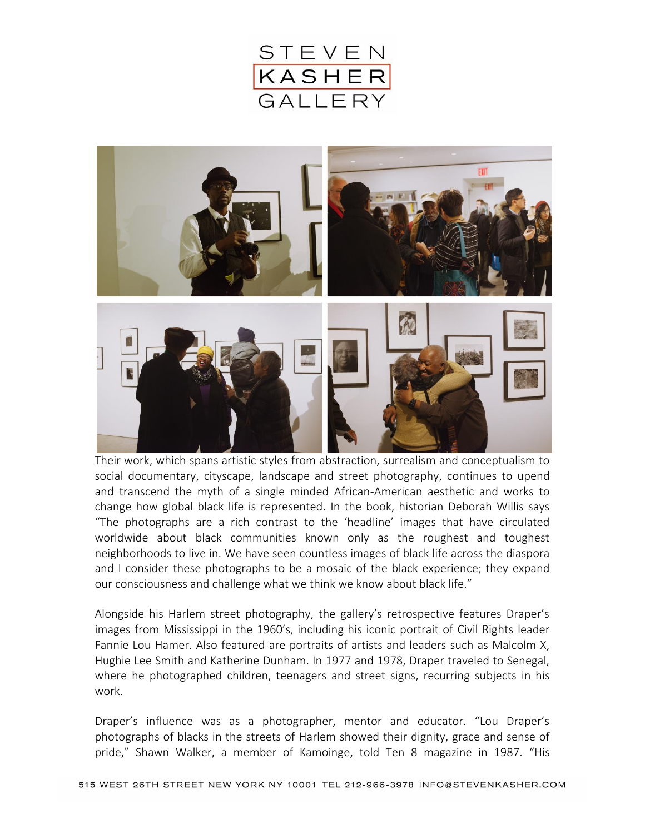



Their work, which spans artistic styles from abstraction, surrealism and conceptualism to social documentary, cityscape, landscape and street photography, continues to upend and transcend the myth of a single minded African-American aesthetic and works to change how global black life is represented. In the book, historian Deborah Willis says "The photographs are a rich contrast to the 'headline' images that have circulated worldwide about black communities known only as the roughest and toughest neighborhoods to live in. We have seen countless images of black life across the diaspora and I consider these photographs to be a mosaic of the black experience; they expand our consciousness and challenge what we think we know about black life."

Alongside his Harlem street photography, the gallery's retrospective features Draper's images from Mississippi in the 1960's, including his iconic portrait of Civil Rights leader Fannie Lou Hamer. Also featured are portraits of artists and leaders such as Malcolm X, Hughie Lee Smith and Katherine Dunham. In 1977 and 1978, Draper traveled to Senegal, where he photographed children, teenagers and street signs, recurring subjects in his work.

Draper's influence was as a photographer, mentor and educator. "Lou Draper's photographs of blacks in the streets of Harlem showed their dignity, grace and sense of pride," Shawn Walker, a member of Kamoinge, told Ten 8 magazine in 1987. "His